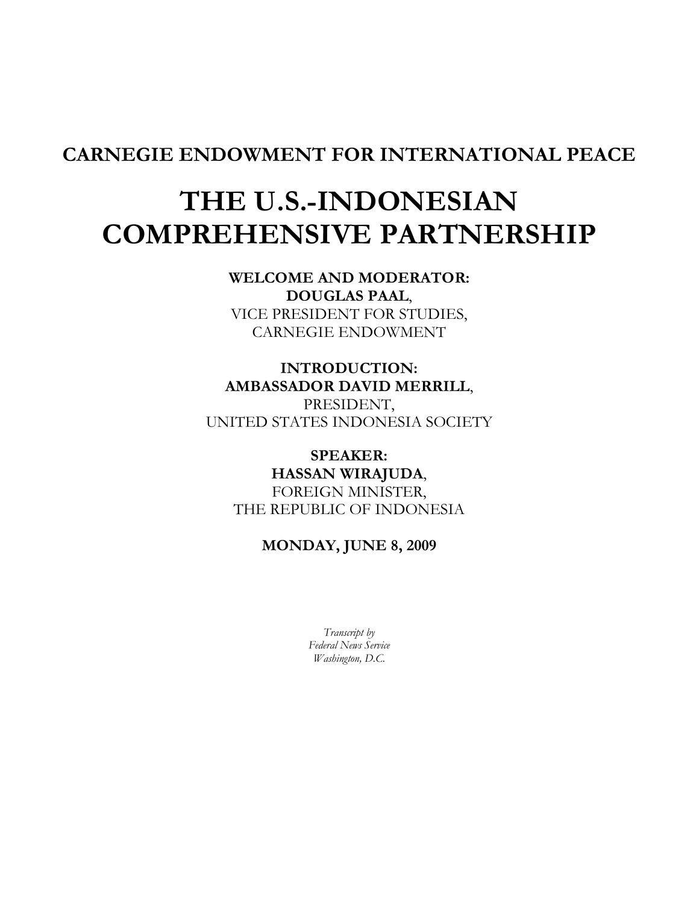## CARNEGIE ENDOWMENT FOR INTERNATIONAL PEACE

## THE U.S.-INDONESIAN COMPREHENSIVE PARTNERSHIP

WELCOME AND MODERATOR: DOUGLAS PAAL, VICE PRESIDENT FOR STUDIES, CARNEGIE ENDOWMENT

INTRODUCTION: AMBASSADOR DAVID MERRILL,

PRESIDENT, UNITED STATES INDONESIA SOCIETY

SPEAKER: HASSAN WIRAJUDA, FOREIGN MINISTER, THE REPUBLIC OF INDONESIA

MONDAY, JUNE 8, 2009

Transcript by Federal News Service Washington, D.C.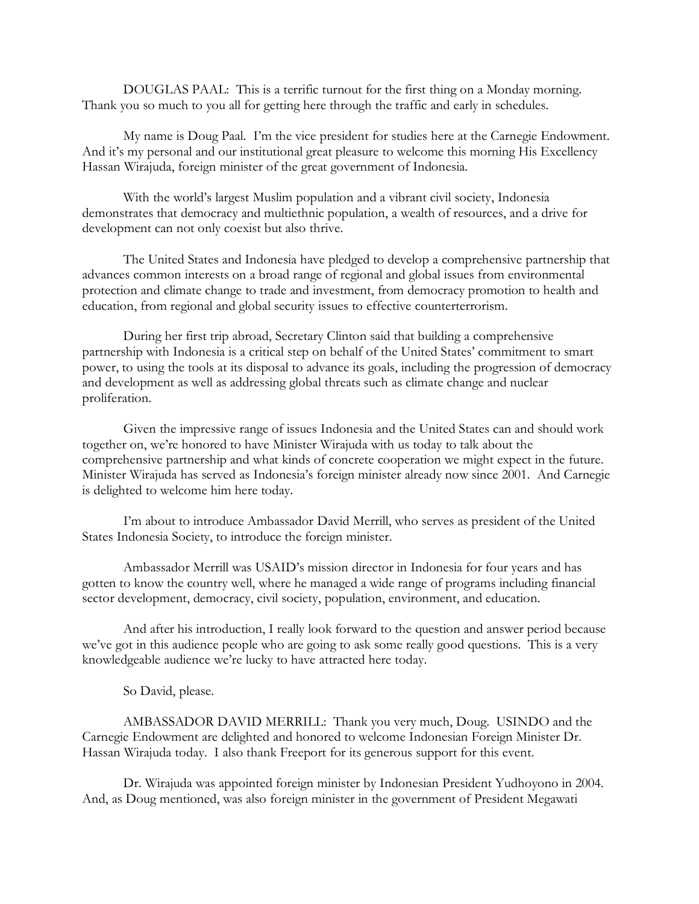DOUGLAS PAAL: This is a terrific turnout for the first thing on a Monday morning. Thank you so much to you all for getting here through the traffic and early in schedules.

My name is Doug Paal. I'm the vice president for studies here at the Carnegie Endowment. And it's my personal and our institutional great pleasure to welcome this morning His Excellency Hassan Wirajuda, foreign minister of the great government of Indonesia.

With the world's largest Muslim population and a vibrant civil society, Indonesia demonstrates that democracy and multiethnic population, a wealth of resources, and a drive for development can not only coexist but also thrive.

The United States and Indonesia have pledged to develop a comprehensive partnership that advances common interests on a broad range of regional and global issues from environmental protection and climate change to trade and investment, from democracy promotion to health and education, from regional and global security issues to effective counterterrorism.

During her first trip abroad, Secretary Clinton said that building a comprehensive partnership with Indonesia is a critical step on behalf of the United States' commitment to smart power, to using the tools at its disposal to advance its goals, including the progression of democracy and development as well as addressing global threats such as climate change and nuclear proliferation.

Given the impressive range of issues Indonesia and the United States can and should work together on, we're honored to have Minister Wirajuda with us today to talk about the comprehensive partnership and what kinds of concrete cooperation we might expect in the future. Minister Wirajuda has served as Indonesia's foreign minister already now since 2001. And Carnegie is delighted to welcome him here today.

I'm about to introduce Ambassador David Merrill, who serves as president of the United States Indonesia Society, to introduce the foreign minister.

Ambassador Merrill was USAID's mission director in Indonesia for four years and has gotten to know the country well, where he managed a wide range of programs including financial sector development, democracy, civil society, population, environment, and education.

And after his introduction, I really look forward to the question and answer period because we've got in this audience people who are going to ask some really good questions. This is a very knowledgeable audience we're lucky to have attracted here today.

So David, please.

AMBASSADOR DAVID MERRILL: Thank you very much, Doug. USINDO and the Carnegie Endowment are delighted and honored to welcome Indonesian Foreign Minister Dr. Hassan Wirajuda today. I also thank Freeport for its generous support for this event.

Dr. Wirajuda was appointed foreign minister by Indonesian President Yudhoyono in 2004. And, as Doug mentioned, was also foreign minister in the government of President Megawati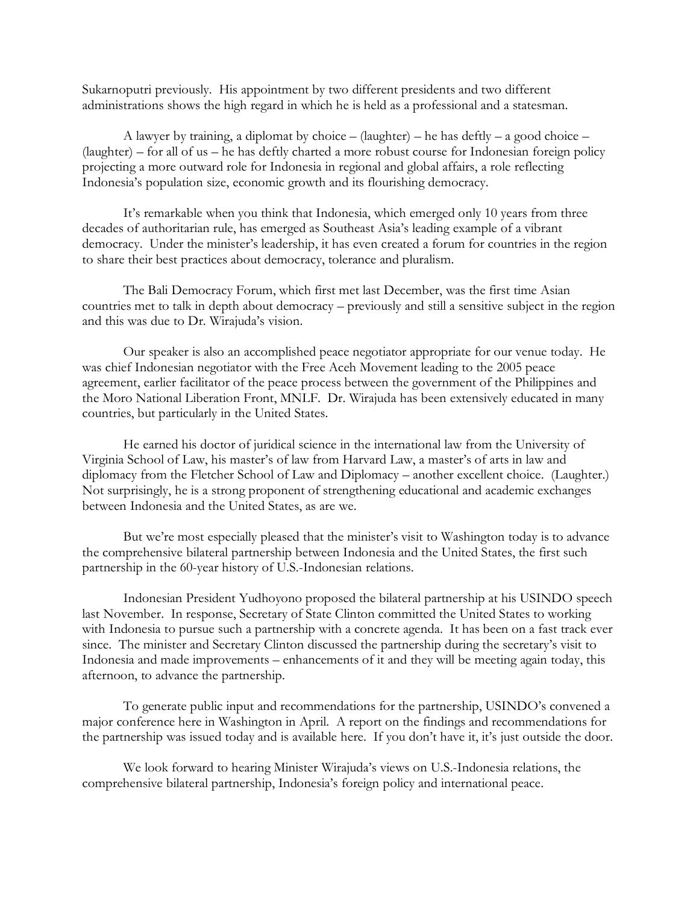Sukarnoputri previously. His appointment by two different presidents and two different administrations shows the high regard in which he is held as a professional and a statesman.

A lawyer by training, a diplomat by choice – (laughter) – he has deftly – a good choice – (laughter) – for all of us – he has deftly charted a more robust course for Indonesian foreign policy projecting a more outward role for Indonesia in regional and global affairs, a role reflecting Indonesia's population size, economic growth and its flourishing democracy.

It's remarkable when you think that Indonesia, which emerged only 10 years from three decades of authoritarian rule, has emerged as Southeast Asia's leading example of a vibrant democracy. Under the minister's leadership, it has even created a forum for countries in the region to share their best practices about democracy, tolerance and pluralism.

The Bali Democracy Forum, which first met last December, was the first time Asian countries met to talk in depth about democracy – previously and still a sensitive subject in the region and this was due to Dr. Wirajuda's vision.

Our speaker is also an accomplished peace negotiator appropriate for our venue today. He was chief Indonesian negotiator with the Free Aceh Movement leading to the 2005 peace agreement, earlier facilitator of the peace process between the government of the Philippines and the Moro National Liberation Front, MNLF. Dr. Wirajuda has been extensively educated in many countries, but particularly in the United States.

He earned his doctor of juridical science in the international law from the University of Virginia School of Law, his master's of law from Harvard Law, a master's of arts in law and diplomacy from the Fletcher School of Law and Diplomacy – another excellent choice. (Laughter.) Not surprisingly, he is a strong proponent of strengthening educational and academic exchanges between Indonesia and the United States, as are we.

But we're most especially pleased that the minister's visit to Washington today is to advance the comprehensive bilateral partnership between Indonesia and the United States, the first such partnership in the 60-year history of U.S.-Indonesian relations.

Indonesian President Yudhoyono proposed the bilateral partnership at his USINDO speech last November. In response, Secretary of State Clinton committed the United States to working with Indonesia to pursue such a partnership with a concrete agenda. It has been on a fast track ever since. The minister and Secretary Clinton discussed the partnership during the secretary's visit to Indonesia and made improvements – enhancements of it and they will be meeting again today, this afternoon, to advance the partnership.

To generate public input and recommendations for the partnership, USINDO's convened a major conference here in Washington in April. A report on the findings and recommendations for the partnership was issued today and is available here. If you don't have it, it's just outside the door.

We look forward to hearing Minister Wirajuda's views on U.S.-Indonesia relations, the comprehensive bilateral partnership, Indonesia's foreign policy and international peace.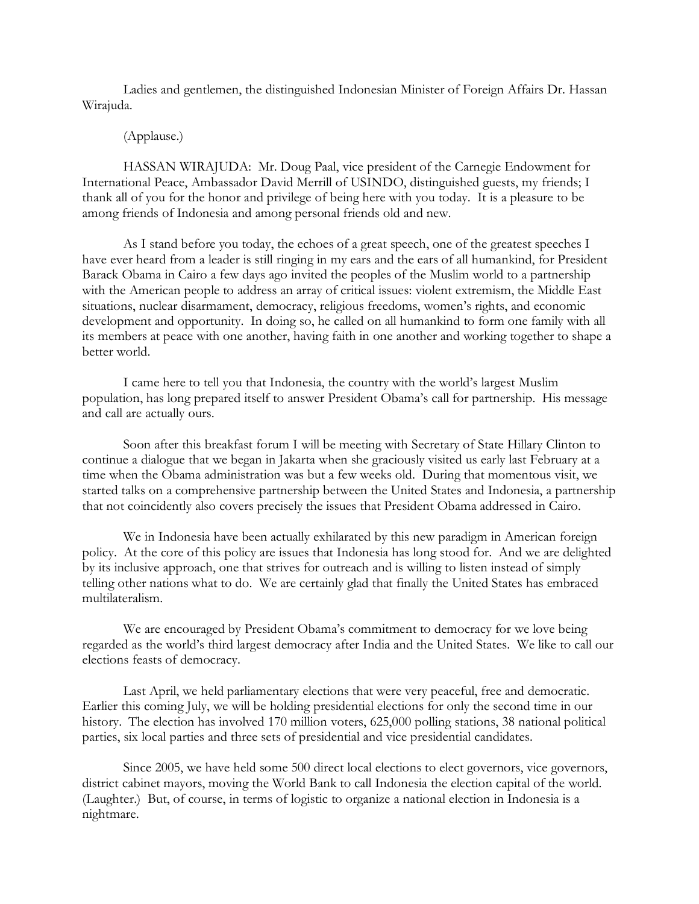Ladies and gentlemen, the distinguished Indonesian Minister of Foreign Affairs Dr. Hassan Wirajuda.

## (Applause.)

HASSAN WIRAJUDA: Mr. Doug Paal, vice president of the Carnegie Endowment for International Peace, Ambassador David Merrill of USINDO, distinguished guests, my friends; I thank all of you for the honor and privilege of being here with you today. It is a pleasure to be among friends of Indonesia and among personal friends old and new.

As I stand before you today, the echoes of a great speech, one of the greatest speeches I have ever heard from a leader is still ringing in my ears and the ears of all humankind, for President Barack Obama in Cairo a few days ago invited the peoples of the Muslim world to a partnership with the American people to address an array of critical issues: violent extremism, the Middle East situations, nuclear disarmament, democracy, religious freedoms, women's rights, and economic development and opportunity. In doing so, he called on all humankind to form one family with all its members at peace with one another, having faith in one another and working together to shape a better world.

I came here to tell you that Indonesia, the country with the world's largest Muslim population, has long prepared itself to answer President Obama's call for partnership. His message and call are actually ours.

Soon after this breakfast forum I will be meeting with Secretary of State Hillary Clinton to continue a dialogue that we began in Jakarta when she graciously visited us early last February at a time when the Obama administration was but a few weeks old. During that momentous visit, we started talks on a comprehensive partnership between the United States and Indonesia, a partnership that not coincidently also covers precisely the issues that President Obama addressed in Cairo.

We in Indonesia have been actually exhilarated by this new paradigm in American foreign policy. At the core of this policy are issues that Indonesia has long stood for. And we are delighted by its inclusive approach, one that strives for outreach and is willing to listen instead of simply telling other nations what to do. We are certainly glad that finally the United States has embraced multilateralism.

We are encouraged by President Obama's commitment to democracy for we love being regarded as the world's third largest democracy after India and the United States. We like to call our elections feasts of democracy.

Last April, we held parliamentary elections that were very peaceful, free and democratic. Earlier this coming July, we will be holding presidential elections for only the second time in our history. The election has involved 170 million voters, 625,000 polling stations, 38 national political parties, six local parties and three sets of presidential and vice presidential candidates.

Since 2005, we have held some 500 direct local elections to elect governors, vice governors, district cabinet mayors, moving the World Bank to call Indonesia the election capital of the world. (Laughter.) But, of course, in terms of logistic to organize a national election in Indonesia is a nightmare.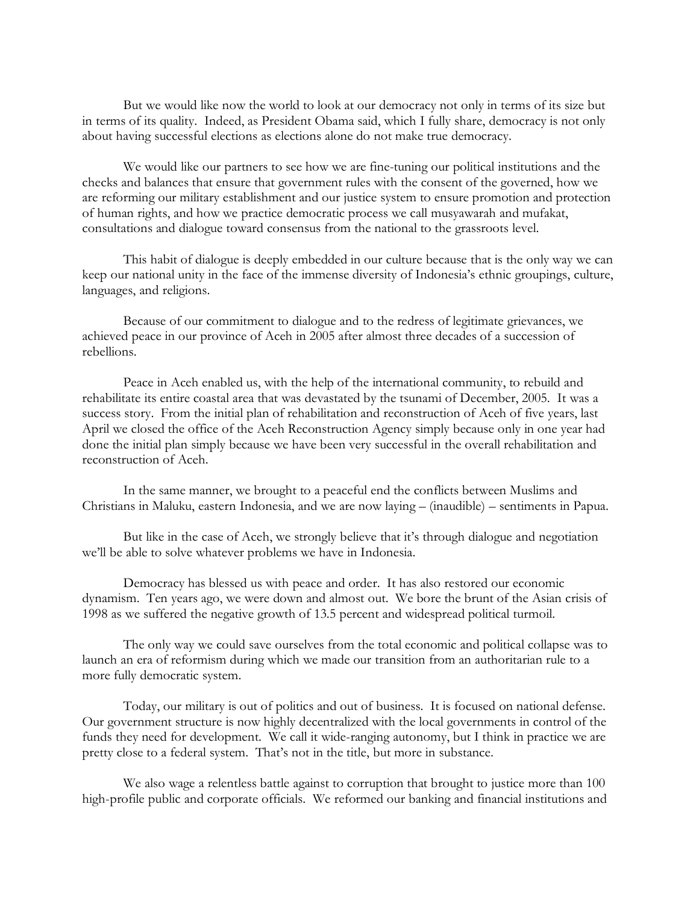But we would like now the world to look at our democracy not only in terms of its size but in terms of its quality. Indeed, as President Obama said, which I fully share, democracy is not only about having successful elections as elections alone do not make true democracy.

We would like our partners to see how we are fine-tuning our political institutions and the checks and balances that ensure that government rules with the consent of the governed, how we are reforming our military establishment and our justice system to ensure promotion and protection of human rights, and how we practice democratic process we call musyawarah and mufakat, consultations and dialogue toward consensus from the national to the grassroots level.

This habit of dialogue is deeply embedded in our culture because that is the only way we can keep our national unity in the face of the immense diversity of Indonesia's ethnic groupings, culture, languages, and religions.

Because of our commitment to dialogue and to the redress of legitimate grievances, we achieved peace in our province of Aceh in 2005 after almost three decades of a succession of rebellions.

Peace in Aceh enabled us, with the help of the international community, to rebuild and rehabilitate its entire coastal area that was devastated by the tsunami of December, 2005. It was a success story. From the initial plan of rehabilitation and reconstruction of Aceh of five years, last April we closed the office of the Aceh Reconstruction Agency simply because only in one year had done the initial plan simply because we have been very successful in the overall rehabilitation and reconstruction of Aceh.

In the same manner, we brought to a peaceful end the conflicts between Muslims and Christians in Maluku, eastern Indonesia, and we are now laying – (inaudible) – sentiments in Papua.

But like in the case of Aceh, we strongly believe that it's through dialogue and negotiation we'll be able to solve whatever problems we have in Indonesia.

Democracy has blessed us with peace and order. It has also restored our economic dynamism. Ten years ago, we were down and almost out. We bore the brunt of the Asian crisis of 1998 as we suffered the negative growth of 13.5 percent and widespread political turmoil.

The only way we could save ourselves from the total economic and political collapse was to launch an era of reformism during which we made our transition from an authoritarian rule to a more fully democratic system.

Today, our military is out of politics and out of business. It is focused on national defense. Our government structure is now highly decentralized with the local governments in control of the funds they need for development. We call it wide-ranging autonomy, but I think in practice we are pretty close to a federal system. That's not in the title, but more in substance.

We also wage a relentless battle against to corruption that brought to justice more than 100 high-profile public and corporate officials. We reformed our banking and financial institutions and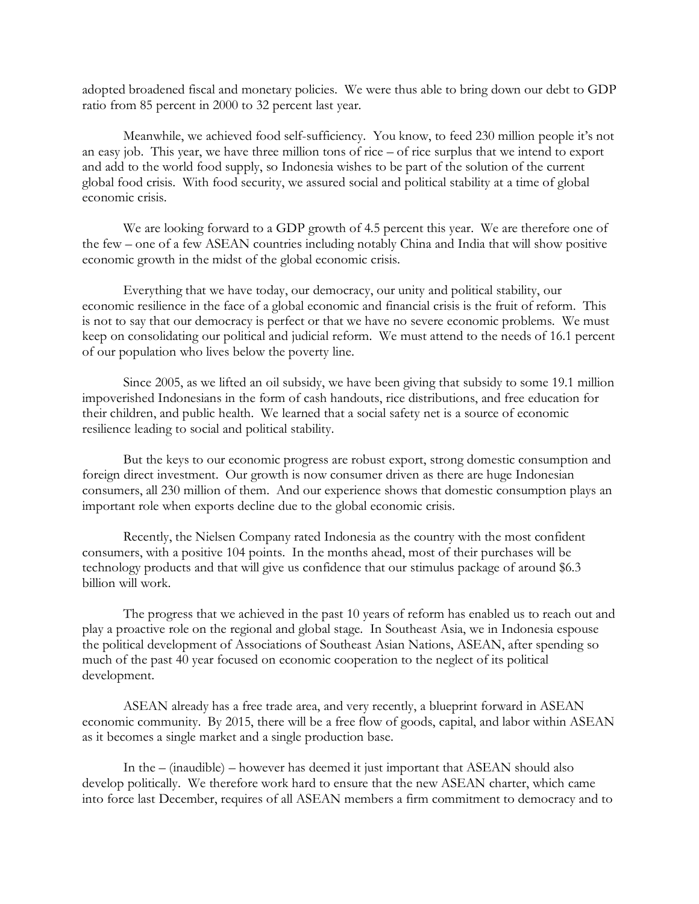adopted broadened fiscal and monetary policies. We were thus able to bring down our debt to GDP ratio from 85 percent in 2000 to 32 percent last year.

Meanwhile, we achieved food self-sufficiency. You know, to feed 230 million people it's not an easy job. This year, we have three million tons of rice – of rice surplus that we intend to export and add to the world food supply, so Indonesia wishes to be part of the solution of the current global food crisis. With food security, we assured social and political stability at a time of global economic crisis.

We are looking forward to a GDP growth of 4.5 percent this year. We are therefore one of the few – one of a few ASEAN countries including notably China and India that will show positive economic growth in the midst of the global economic crisis.

Everything that we have today, our democracy, our unity and political stability, our economic resilience in the face of a global economic and financial crisis is the fruit of reform. This is not to say that our democracy is perfect or that we have no severe economic problems. We must keep on consolidating our political and judicial reform. We must attend to the needs of 16.1 percent of our population who lives below the poverty line.

Since 2005, as we lifted an oil subsidy, we have been giving that subsidy to some 19.1 million impoverished Indonesians in the form of cash handouts, rice distributions, and free education for their children, and public health. We learned that a social safety net is a source of economic resilience leading to social and political stability.

But the keys to our economic progress are robust export, strong domestic consumption and foreign direct investment. Our growth is now consumer driven as there are huge Indonesian consumers, all 230 million of them. And our experience shows that domestic consumption plays an important role when exports decline due to the global economic crisis.

Recently, the Nielsen Company rated Indonesia as the country with the most confident consumers, with a positive 104 points. In the months ahead, most of their purchases will be technology products and that will give us confidence that our stimulus package of around \$6.3 billion will work.

The progress that we achieved in the past 10 years of reform has enabled us to reach out and play a proactive role on the regional and global stage. In Southeast Asia, we in Indonesia espouse the political development of Associations of Southeast Asian Nations, ASEAN, after spending so much of the past 40 year focused on economic cooperation to the neglect of its political development.

ASEAN already has a free trade area, and very recently, a blueprint forward in ASEAN economic community. By 2015, there will be a free flow of goods, capital, and labor within ASEAN as it becomes a single market and a single production base.

In the – (inaudible) – however has deemed it just important that ASEAN should also develop politically. We therefore work hard to ensure that the new ASEAN charter, which came into force last December, requires of all ASEAN members a firm commitment to democracy and to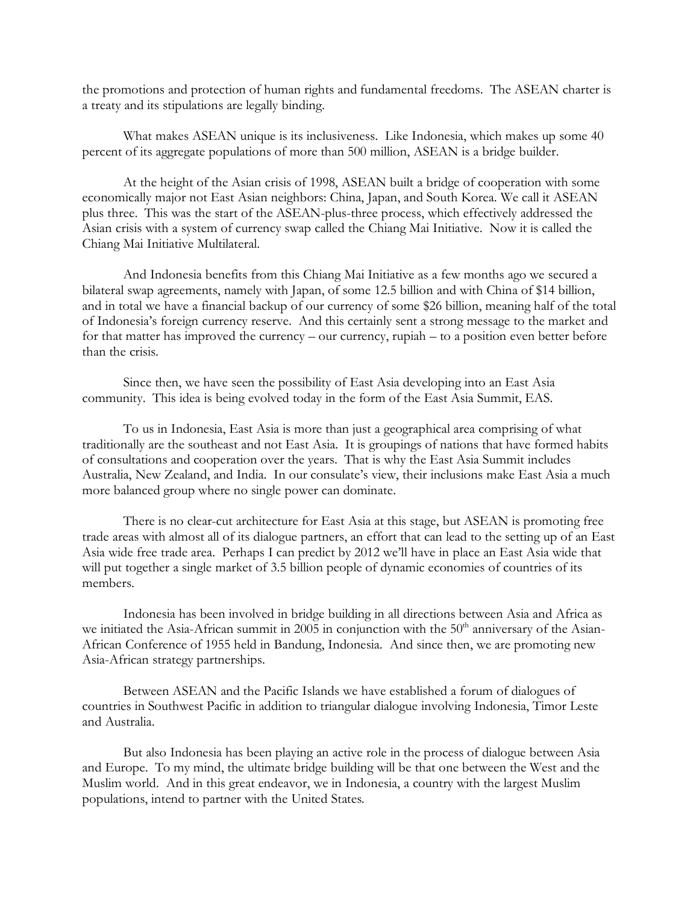the promotions and protection of human rights and fundamental freedoms. The ASEAN charter is a treaty and its stipulations are legally binding.

What makes ASEAN unique is its inclusiveness. Like Indonesia, which makes up some 40 percent of its aggregate populations of more than 500 million, ASEAN is a bridge builder.

At the height of the Asian crisis of 1998, ASEAN built a bridge of cooperation with some economically major not East Asian neighbors: China, Japan, and South Korea. We call it ASEAN plus three. This was the start of the ASEAN-plus-three process, which effectively addressed the Asian crisis with a system of currency swap called the Chiang Mai Initiative. Now it is called the Chiang Mai Initiative Multilateral.

And Indonesia benefits from this Chiang Mai Initiative as a few months ago we secured a bilateral swap agreements, namely with Japan, of some 12.5 billion and with China of \$14 billion, and in total we have a financial backup of our currency of some \$26 billion, meaning half of the total of Indonesia's foreign currency reserve. And this certainly sent a strong message to the market and for that matter has improved the currency – our currency, rupiah – to a position even better before than the crisis.

Since then, we have seen the possibility of East Asia developing into an East Asia community. This idea is being evolved today in the form of the East Asia Summit, EAS.

To us in Indonesia, East Asia is more than just a geographical area comprising of what traditionally are the southeast and not East Asia. It is groupings of nations that have formed habits of consultations and cooperation over the years. That is why the East Asia Summit includes Australia, New Zealand, and India. In our consulate's view, their inclusions make East Asia a much more balanced group where no single power can dominate.

There is no clear-cut architecture for East Asia at this stage, but ASEAN is promoting free trade areas with almost all of its dialogue partners, an effort that can lead to the setting up of an East Asia wide free trade area. Perhaps I can predict by 2012 we'll have in place an East Asia wide that will put together a single market of 3.5 billion people of dynamic economies of countries of its members.

Indonesia has been involved in bridge building in all directions between Asia and Africa as we initiated the Asia-African summit in  $200\overline{5}$  in conjunction with the  $50<sup>th</sup>$  anniversary of the Asian-African Conference of 1955 held in Bandung, Indonesia. And since then, we are promoting new Asia-African strategy partnerships.

Between ASEAN and the Pacific Islands we have established a forum of dialogues of countries in Southwest Pacific in addition to triangular dialogue involving Indonesia, Timor Leste and Australia.

But also Indonesia has been playing an active role in the process of dialogue between Asia and Europe. To my mind, the ultimate bridge building will be that one between the West and the Muslim world. And in this great endeavor, we in Indonesia, a country with the largest Muslim populations, intend to partner with the United States.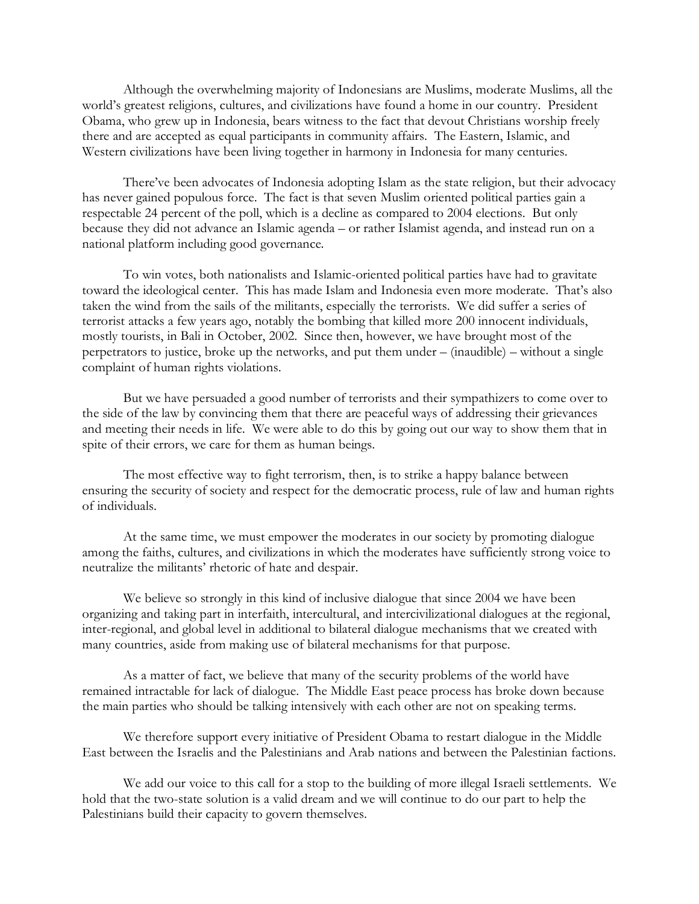Although the overwhelming majority of Indonesians are Muslims, moderate Muslims, all the world's greatest religions, cultures, and civilizations have found a home in our country. President Obama, who grew up in Indonesia, bears witness to the fact that devout Christians worship freely there and are accepted as equal participants in community affairs. The Eastern, Islamic, and Western civilizations have been living together in harmony in Indonesia for many centuries.

There've been advocates of Indonesia adopting Islam as the state religion, but their advocacy has never gained populous force. The fact is that seven Muslim oriented political parties gain a respectable 24 percent of the poll, which is a decline as compared to 2004 elections. But only because they did not advance an Islamic agenda – or rather Islamist agenda, and instead run on a national platform including good governance.

To win votes, both nationalists and Islamic-oriented political parties have had to gravitate toward the ideological center. This has made Islam and Indonesia even more moderate. That's also taken the wind from the sails of the militants, especially the terrorists. We did suffer a series of terrorist attacks a few years ago, notably the bombing that killed more 200 innocent individuals, mostly tourists, in Bali in October, 2002. Since then, however, we have brought most of the perpetrators to justice, broke up the networks, and put them under – (inaudible) – without a single complaint of human rights violations.

But we have persuaded a good number of terrorists and their sympathizers to come over to the side of the law by convincing them that there are peaceful ways of addressing their grievances and meeting their needs in life. We were able to do this by going out our way to show them that in spite of their errors, we care for them as human beings.

The most effective way to fight terrorism, then, is to strike a happy balance between ensuring the security of society and respect for the democratic process, rule of law and human rights of individuals.

At the same time, we must empower the moderates in our society by promoting dialogue among the faiths, cultures, and civilizations in which the moderates have sufficiently strong voice to neutralize the militants' rhetoric of hate and despair.

We believe so strongly in this kind of inclusive dialogue that since 2004 we have been organizing and taking part in interfaith, intercultural, and intercivilizational dialogues at the regional, inter-regional, and global level in additional to bilateral dialogue mechanisms that we created with many countries, aside from making use of bilateral mechanisms for that purpose.

As a matter of fact, we believe that many of the security problems of the world have remained intractable for lack of dialogue. The Middle East peace process has broke down because the main parties who should be talking intensively with each other are not on speaking terms.

We therefore support every initiative of President Obama to restart dialogue in the Middle East between the Israelis and the Palestinians and Arab nations and between the Palestinian factions.

We add our voice to this call for a stop to the building of more illegal Israeli settlements. We hold that the two-state solution is a valid dream and we will continue to do our part to help the Palestinians build their capacity to govern themselves.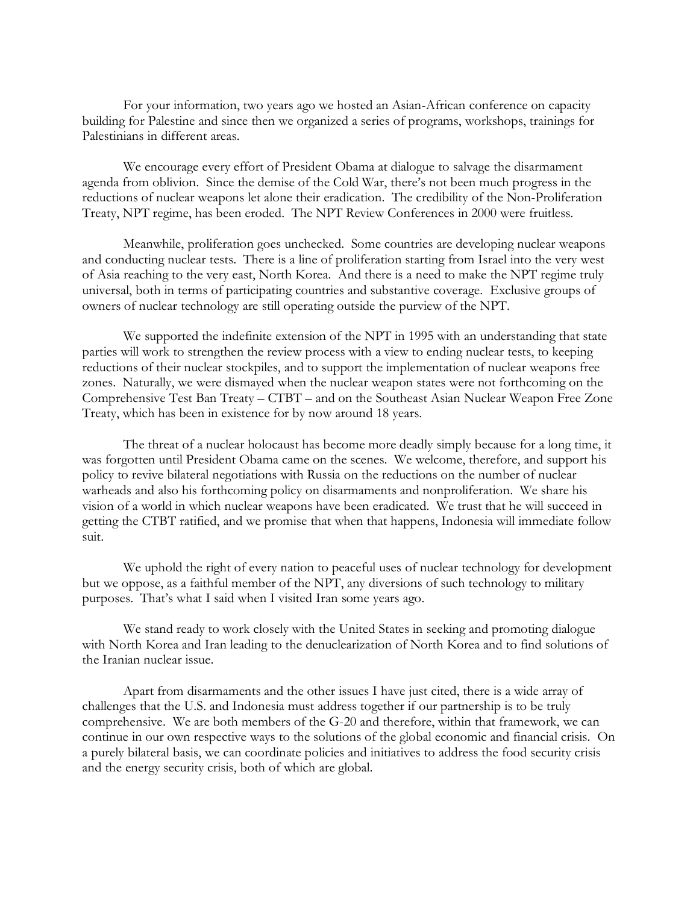For your information, two years ago we hosted an Asian-African conference on capacity building for Palestine and since then we organized a series of programs, workshops, trainings for Palestinians in different areas.

We encourage every effort of President Obama at dialogue to salvage the disarmament agenda from oblivion. Since the demise of the Cold War, there's not been much progress in the reductions of nuclear weapons let alone their eradication. The credibility of the Non-Proliferation Treaty, NPT regime, has been eroded. The NPT Review Conferences in 2000 were fruitless.

Meanwhile, proliferation goes unchecked. Some countries are developing nuclear weapons and conducting nuclear tests. There is a line of proliferation starting from Israel into the very west of Asia reaching to the very east, North Korea. And there is a need to make the NPT regime truly universal, both in terms of participating countries and substantive coverage. Exclusive groups of owners of nuclear technology are still operating outside the purview of the NPT.

We supported the indefinite extension of the NPT in 1995 with an understanding that state parties will work to strengthen the review process with a view to ending nuclear tests, to keeping reductions of their nuclear stockpiles, and to support the implementation of nuclear weapons free zones. Naturally, we were dismayed when the nuclear weapon states were not forthcoming on the Comprehensive Test Ban Treaty – CTBT – and on the Southeast Asian Nuclear Weapon Free Zone Treaty, which has been in existence for by now around 18 years.

The threat of a nuclear holocaust has become more deadly simply because for a long time, it was forgotten until President Obama came on the scenes. We welcome, therefore, and support his policy to revive bilateral negotiations with Russia on the reductions on the number of nuclear warheads and also his forthcoming policy on disarmaments and nonproliferation. We share his vision of a world in which nuclear weapons have been eradicated. We trust that he will succeed in getting the CTBT ratified, and we promise that when that happens, Indonesia will immediate follow suit.

We uphold the right of every nation to peaceful uses of nuclear technology for development but we oppose, as a faithful member of the NPT, any diversions of such technology to military purposes. That's what I said when I visited Iran some years ago.

We stand ready to work closely with the United States in seeking and promoting dialogue with North Korea and Iran leading to the denuclearization of North Korea and to find solutions of the Iranian nuclear issue.

Apart from disarmaments and the other issues I have just cited, there is a wide array of challenges that the U.S. and Indonesia must address together if our partnership is to be truly comprehensive. We are both members of the G-20 and therefore, within that framework, we can continue in our own respective ways to the solutions of the global economic and financial crisis. On a purely bilateral basis, we can coordinate policies and initiatives to address the food security crisis and the energy security crisis, both of which are global.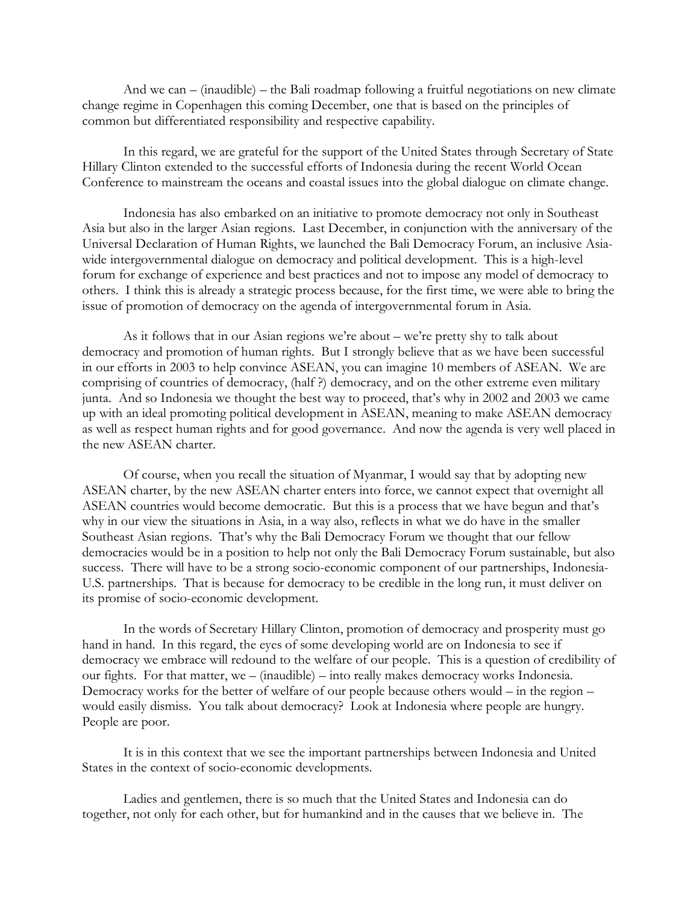And we can – (inaudible) – the Bali roadmap following a fruitful negotiations on new climate change regime in Copenhagen this coming December, one that is based on the principles of common but differentiated responsibility and respective capability.

In this regard, we are grateful for the support of the United States through Secretary of State Hillary Clinton extended to the successful efforts of Indonesia during the recent World Ocean Conference to mainstream the oceans and coastal issues into the global dialogue on climate change.

Indonesia has also embarked on an initiative to promote democracy not only in Southeast Asia but also in the larger Asian regions. Last December, in conjunction with the anniversary of the Universal Declaration of Human Rights, we launched the Bali Democracy Forum, an inclusive Asiawide intergovernmental dialogue on democracy and political development. This is a high-level forum for exchange of experience and best practices and not to impose any model of democracy to others. I think this is already a strategic process because, for the first time, we were able to bring the issue of promotion of democracy on the agenda of intergovernmental forum in Asia.

As it follows that in our Asian regions we're about – we're pretty shy to talk about democracy and promotion of human rights. But I strongly believe that as we have been successful in our efforts in 2003 to help convince ASEAN, you can imagine 10 members of ASEAN. We are comprising of countries of democracy, (half ?) democracy, and on the other extreme even military junta. And so Indonesia we thought the best way to proceed, that's why in 2002 and 2003 we came up with an ideal promoting political development in ASEAN, meaning to make ASEAN democracy as well as respect human rights and for good governance. And now the agenda is very well placed in the new ASEAN charter.

Of course, when you recall the situation of Myanmar, I would say that by adopting new ASEAN charter, by the new ASEAN charter enters into force, we cannot expect that overnight all ASEAN countries would become democratic. But this is a process that we have begun and that's why in our view the situations in Asia, in a way also, reflects in what we do have in the smaller Southeast Asian regions. That's why the Bali Democracy Forum we thought that our fellow democracies would be in a position to help not only the Bali Democracy Forum sustainable, but also success. There will have to be a strong socio-economic component of our partnerships, Indonesia-U.S. partnerships. That is because for democracy to be credible in the long run, it must deliver on its promise of socio-economic development.

In the words of Secretary Hillary Clinton, promotion of democracy and prosperity must go hand in hand. In this regard, the eyes of some developing world are on Indonesia to see if democracy we embrace will redound to the welfare of our people. This is a question of credibility of our fights. For that matter, we – (inaudible) – into really makes democracy works Indonesia. Democracy works for the better of welfare of our people because others would – in the region – would easily dismiss. You talk about democracy? Look at Indonesia where people are hungry. People are poor.

It is in this context that we see the important partnerships between Indonesia and United States in the context of socio-economic developments.

Ladies and gentlemen, there is so much that the United States and Indonesia can do together, not only for each other, but for humankind and in the causes that we believe in. The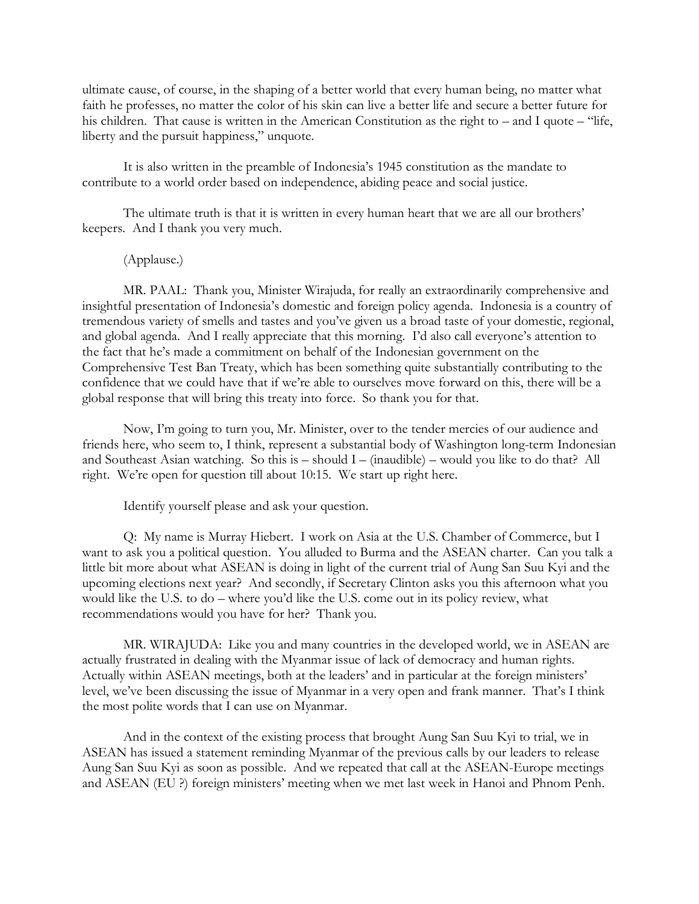ultimate cause, of course, in the shaping of a better world that every human being, no matter what faith he professes, no matter the color of his skin can live a better life and secure a better future for his children. That cause is written in the American Constitution as the right to – and I quote – "life, liberty and the pursuit happiness," unquote.

It is also written in the preamble of Indonesia's 1945 constitution as the mandate to contribute to a world order based on independence, abiding peace and social justice.

The ultimate truth is that it is written in every human heart that we are all our brothers' keepers. And I thank you very much.

(Applause.)

MR. PAAL: Thank you, Minister Wirajuda, for really an extraordinarily comprehensive and insightful presentation of Indonesia's domestic and foreign policy agenda. Indonesia is a country of tremendous variety of smells and tastes and you've given us a broad taste of your domestic, regional, and global agenda. And I really appreciate that this morning. I'd also call everyone's attention to the fact that he's made a commitment on behalf of the Indonesian government on the Comprehensive Test Ban Treaty, which has been something quite substantially contributing to the confidence that we could have that if we're able to ourselves move forward on this, there will be a global response that will bring this treaty into force. So thank you for that.

Now, I'm going to turn you, Mr. Minister, over to the tender mercies of our audience and friends here, who seem to, I think, represent a substantial body of Washington long-term Indonesian and Southeast Asian watching. So this is  $-$  should I – (inaudible) – would you like to do that? All right. We're open for question till about 10:15. We start up right here.

Identify yourself please and ask your question.

Q: My name is Murray Hiebert. I work on Asia at the U.S. Chamber of Commerce, but I want to ask you a political question. You alluded to Burma and the ASEAN charter. Can you talk a little bit more about what ASEAN is doing in light of the current trial of Aung San Suu Kyi and the upcoming elections next year? And secondly, if Secretary Clinton asks you this afternoon what you would like the U.S. to do – where you'd like the U.S. come out in its policy review, what recommendations would you have for her? Thank you.

MR. WIRAJUDA: Like you and many countries in the developed world, we in ASEAN are actually frustrated in dealing with the Myanmar issue of lack of democracy and human rights. Actually within ASEAN meetings, both at the leaders' and in particular at the foreign ministers' level, we've been discussing the issue of Myanmar in a very open and frank manner. That's I think the most polite words that I can use on Myanmar.

And in the context of the existing process that brought Aung San Suu Kyi to trial, we in ASEAN has issued a statement reminding Myanmar of the previous calls by our leaders to release Aung San Suu Kyi as soon as possible. And we repeated that call at the ASEAN-Europe meetings and ASEAN (EU ?) foreign ministers' meeting when we met last week in Hanoi and Phnom Penh.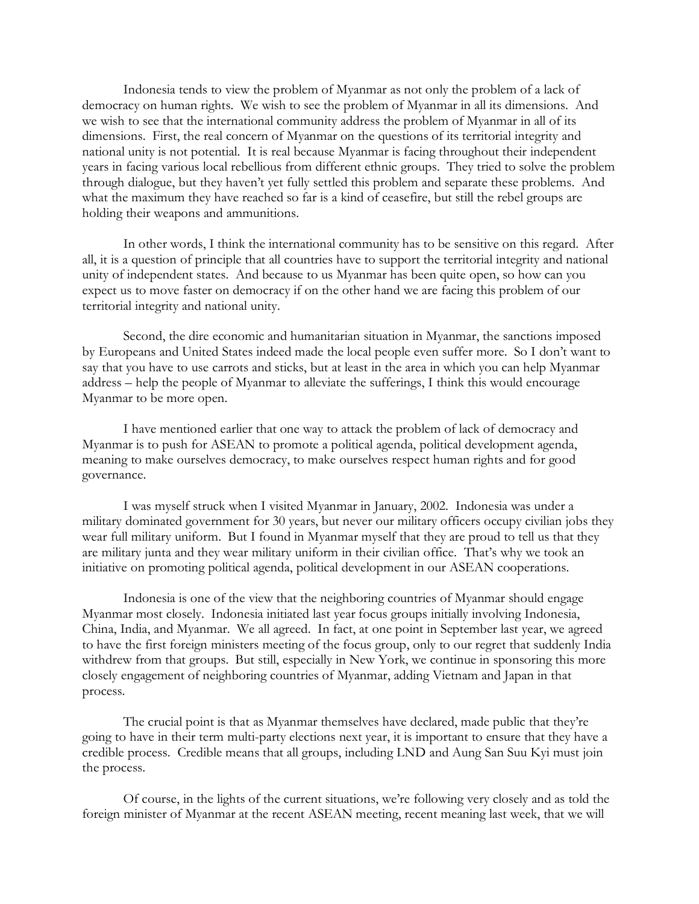Indonesia tends to view the problem of Myanmar as not only the problem of a lack of democracy on human rights. We wish to see the problem of Myanmar in all its dimensions. And we wish to see that the international community address the problem of Myanmar in all of its dimensions. First, the real concern of Myanmar on the questions of its territorial integrity and national unity is not potential. It is real because Myanmar is facing throughout their independent years in facing various local rebellious from different ethnic groups. They tried to solve the problem through dialogue, but they haven't yet fully settled this problem and separate these problems. And what the maximum they have reached so far is a kind of ceasefire, but still the rebel groups are holding their weapons and ammunitions.

In other words, I think the international community has to be sensitive on this regard. After all, it is a question of principle that all countries have to support the territorial integrity and national unity of independent states. And because to us Myanmar has been quite open, so how can you expect us to move faster on democracy if on the other hand we are facing this problem of our territorial integrity and national unity.

Second, the dire economic and humanitarian situation in Myanmar, the sanctions imposed by Europeans and United States indeed made the local people even suffer more. So I don't want to say that you have to use carrots and sticks, but at least in the area in which you can help Myanmar address – help the people of Myanmar to alleviate the sufferings, I think this would encourage Myanmar to be more open.

I have mentioned earlier that one way to attack the problem of lack of democracy and Myanmar is to push for ASEAN to promote a political agenda, political development agenda, meaning to make ourselves democracy, to make ourselves respect human rights and for good governance.

I was myself struck when I visited Myanmar in January, 2002. Indonesia was under a military dominated government for 30 years, but never our military officers occupy civilian jobs they wear full military uniform. But I found in Myanmar myself that they are proud to tell us that they are military junta and they wear military uniform in their civilian office. That's why we took an initiative on promoting political agenda, political development in our ASEAN cooperations.

Indonesia is one of the view that the neighboring countries of Myanmar should engage Myanmar most closely. Indonesia initiated last year focus groups initially involving Indonesia, China, India, and Myanmar. We all agreed. In fact, at one point in September last year, we agreed to have the first foreign ministers meeting of the focus group, only to our regret that suddenly India withdrew from that groups. But still, especially in New York, we continue in sponsoring this more closely engagement of neighboring countries of Myanmar, adding Vietnam and Japan in that process.

The crucial point is that as Myanmar themselves have declared, made public that they're going to have in their term multi-party elections next year, it is important to ensure that they have a credible process. Credible means that all groups, including LND and Aung San Suu Kyi must join the process.

Of course, in the lights of the current situations, we're following very closely and as told the foreign minister of Myanmar at the recent ASEAN meeting, recent meaning last week, that we will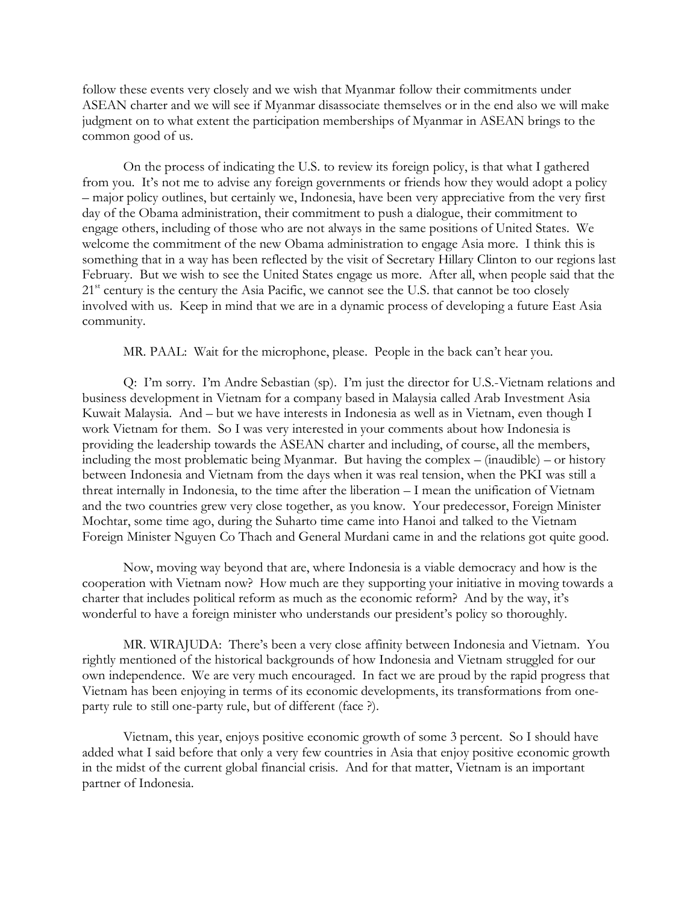follow these events very closely and we wish that Myanmar follow their commitments under ASEAN charter and we will see if Myanmar disassociate themselves or in the end also we will make judgment on to what extent the participation memberships of Myanmar in ASEAN brings to the common good of us.

On the process of indicating the U.S. to review its foreign policy, is that what I gathered from you. It's not me to advise any foreign governments or friends how they would adopt a policy – major policy outlines, but certainly we, Indonesia, have been very appreciative from the very first day of the Obama administration, their commitment to push a dialogue, their commitment to engage others, including of those who are not always in the same positions of United States. We welcome the commitment of the new Obama administration to engage Asia more. I think this is something that in a way has been reflected by the visit of Secretary Hillary Clinton to our regions last February. But we wish to see the United States engage us more. After all, when people said that the 21<sup>st</sup> century is the century the Asia Pacific, we cannot see the U.S. that cannot be too closely involved with us. Keep in mind that we are in a dynamic process of developing a future East Asia community.

MR. PAAL: Wait for the microphone, please. People in the back can't hear you.

Q: I'm sorry. I'm Andre Sebastian (sp). I'm just the director for U.S.-Vietnam relations and business development in Vietnam for a company based in Malaysia called Arab Investment Asia Kuwait Malaysia. And – but we have interests in Indonesia as well as in Vietnam, even though I work Vietnam for them. So I was very interested in your comments about how Indonesia is providing the leadership towards the ASEAN charter and including, of course, all the members, including the most problematic being Myanmar. But having the complex – (inaudible) – or history between Indonesia and Vietnam from the days when it was real tension, when the PKI was still a threat internally in Indonesia, to the time after the liberation – I mean the unification of Vietnam and the two countries grew very close together, as you know. Your predecessor, Foreign Minister Mochtar, some time ago, during the Suharto time came into Hanoi and talked to the Vietnam Foreign Minister Nguyen Co Thach and General Murdani came in and the relations got quite good.

Now, moving way beyond that are, where Indonesia is a viable democracy and how is the cooperation with Vietnam now? How much are they supporting your initiative in moving towards a charter that includes political reform as much as the economic reform? And by the way, it's wonderful to have a foreign minister who understands our president's policy so thoroughly.

MR. WIRAJUDA: There's been a very close affinity between Indonesia and Vietnam. You rightly mentioned of the historical backgrounds of how Indonesia and Vietnam struggled for our own independence. We are very much encouraged. In fact we are proud by the rapid progress that Vietnam has been enjoying in terms of its economic developments, its transformations from oneparty rule to still one-party rule, but of different (face ?).

Vietnam, this year, enjoys positive economic growth of some 3 percent. So I should have added what I said before that only a very few countries in Asia that enjoy positive economic growth in the midst of the current global financial crisis. And for that matter, Vietnam is an important partner of Indonesia.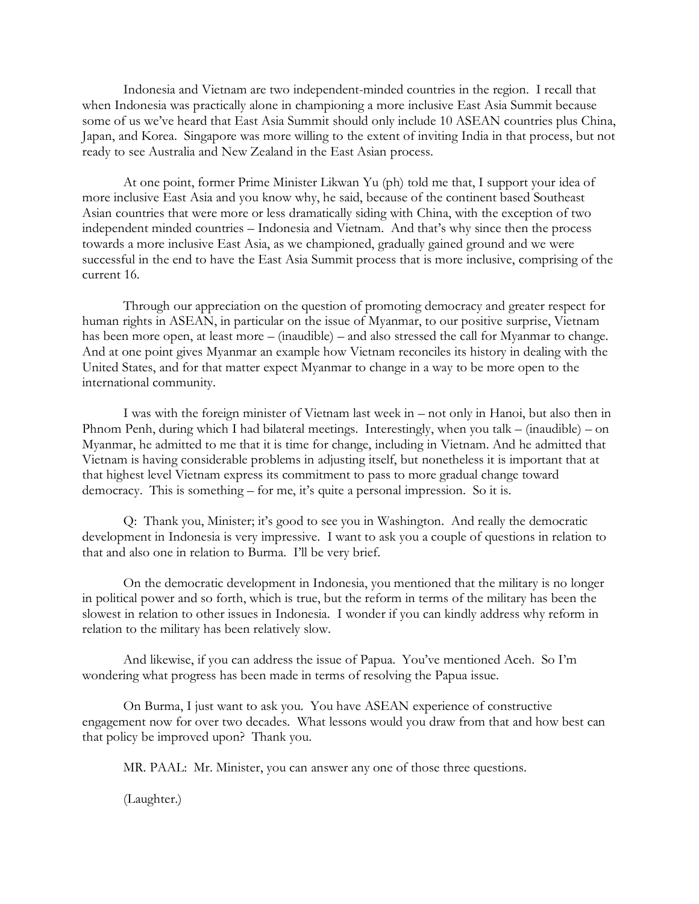Indonesia and Vietnam are two independent-minded countries in the region. I recall that when Indonesia was practically alone in championing a more inclusive East Asia Summit because some of us we've heard that East Asia Summit should only include 10 ASEAN countries plus China, Japan, and Korea. Singapore was more willing to the extent of inviting India in that process, but not ready to see Australia and New Zealand in the East Asian process.

At one point, former Prime Minister Likwan Yu (ph) told me that, I support your idea of more inclusive East Asia and you know why, he said, because of the continent based Southeast Asian countries that were more or less dramatically siding with China, with the exception of two independent minded countries – Indonesia and Vietnam. And that's why since then the process towards a more inclusive East Asia, as we championed, gradually gained ground and we were successful in the end to have the East Asia Summit process that is more inclusive, comprising of the current 16.

Through our appreciation on the question of promoting democracy and greater respect for human rights in ASEAN, in particular on the issue of Myanmar, to our positive surprise, Vietnam has been more open, at least more – (inaudible) – and also stressed the call for Myanmar to change. And at one point gives Myanmar an example how Vietnam reconciles its history in dealing with the United States, and for that matter expect Myanmar to change in a way to be more open to the international community.

I was with the foreign minister of Vietnam last week in – not only in Hanoi, but also then in Phnom Penh, during which I had bilateral meetings. Interestingly, when you talk – (inaudible) – on Myanmar, he admitted to me that it is time for change, including in Vietnam. And he admitted that Vietnam is having considerable problems in adjusting itself, but nonetheless it is important that at that highest level Vietnam express its commitment to pass to more gradual change toward democracy. This is something – for me, it's quite a personal impression. So it is.

Q: Thank you, Minister; it's good to see you in Washington. And really the democratic development in Indonesia is very impressive. I want to ask you a couple of questions in relation to that and also one in relation to Burma. I'll be very brief.

On the democratic development in Indonesia, you mentioned that the military is no longer in political power and so forth, which is true, but the reform in terms of the military has been the slowest in relation to other issues in Indonesia. I wonder if you can kindly address why reform in relation to the military has been relatively slow.

And likewise, if you can address the issue of Papua. You've mentioned Aceh. So I'm wondering what progress has been made in terms of resolving the Papua issue.

On Burma, I just want to ask you. You have ASEAN experience of constructive engagement now for over two decades. What lessons would you draw from that and how best can that policy be improved upon? Thank you.

MR. PAAL: Mr. Minister, you can answer any one of those three questions.

(Laughter.)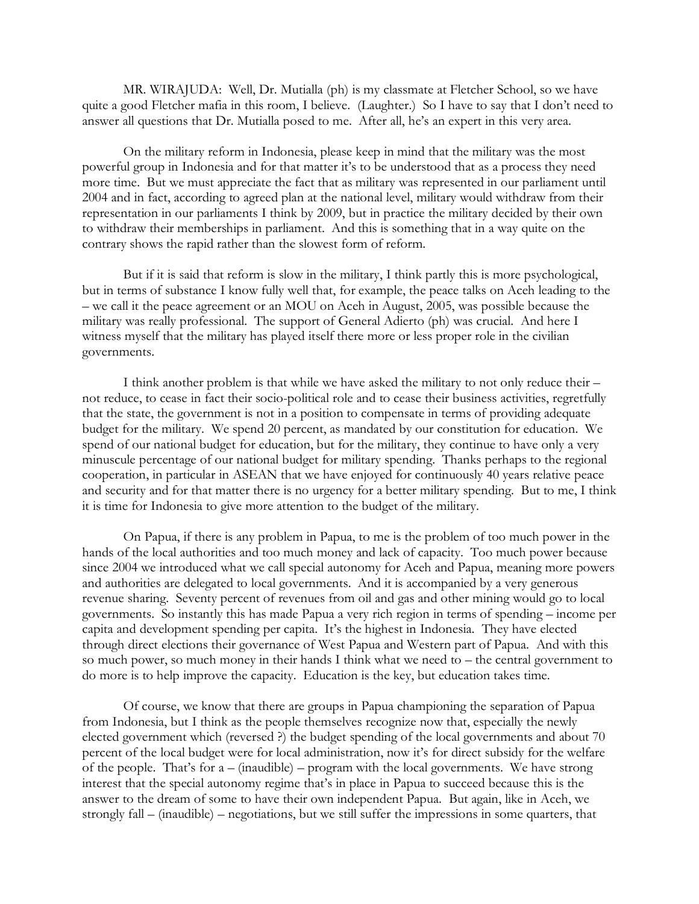MR. WIRAJUDA: Well, Dr. Mutialla (ph) is my classmate at Fletcher School, so we have quite a good Fletcher mafia in this room, I believe. (Laughter.) So I have to say that I don't need to answer all questions that Dr. Mutialla posed to me. After all, he's an expert in this very area.

On the military reform in Indonesia, please keep in mind that the military was the most powerful group in Indonesia and for that matter it's to be understood that as a process they need more time. But we must appreciate the fact that as military was represented in our parliament until 2004 and in fact, according to agreed plan at the national level, military would withdraw from their representation in our parliaments I think by 2009, but in practice the military decided by their own to withdraw their memberships in parliament. And this is something that in a way quite on the contrary shows the rapid rather than the slowest form of reform.

But if it is said that reform is slow in the military, I think partly this is more psychological, but in terms of substance I know fully well that, for example, the peace talks on Aceh leading to the – we call it the peace agreement or an MOU on Aceh in August, 2005, was possible because the military was really professional. The support of General Adierto (ph) was crucial. And here I witness myself that the military has played itself there more or less proper role in the civilian governments.

I think another problem is that while we have asked the military to not only reduce their – not reduce, to cease in fact their socio-political role and to cease their business activities, regretfully that the state, the government is not in a position to compensate in terms of providing adequate budget for the military. We spend 20 percent, as mandated by our constitution for education. We spend of our national budget for education, but for the military, they continue to have only a very minuscule percentage of our national budget for military spending. Thanks perhaps to the regional cooperation, in particular in ASEAN that we have enjoyed for continuously 40 years relative peace and security and for that matter there is no urgency for a better military spending. But to me, I think it is time for Indonesia to give more attention to the budget of the military.

On Papua, if there is any problem in Papua, to me is the problem of too much power in the hands of the local authorities and too much money and lack of capacity. Too much power because since 2004 we introduced what we call special autonomy for Aceh and Papua, meaning more powers and authorities are delegated to local governments. And it is accompanied by a very generous revenue sharing. Seventy percent of revenues from oil and gas and other mining would go to local governments. So instantly this has made Papua a very rich region in terms of spending – income per capita and development spending per capita. It's the highest in Indonesia. They have elected through direct elections their governance of West Papua and Western part of Papua. And with this so much power, so much money in their hands I think what we need to – the central government to do more is to help improve the capacity. Education is the key, but education takes time.

Of course, we know that there are groups in Papua championing the separation of Papua from Indonesia, but I think as the people themselves recognize now that, especially the newly elected government which (reversed ?) the budget spending of the local governments and about 70 percent of the local budget were for local administration, now it's for direct subsidy for the welfare of the people. That's for a – (inaudible) – program with the local governments. We have strong interest that the special autonomy regime that's in place in Papua to succeed because this is the answer to the dream of some to have their own independent Papua. But again, like in Aceh, we strongly fall – (inaudible) – negotiations, but we still suffer the impressions in some quarters, that